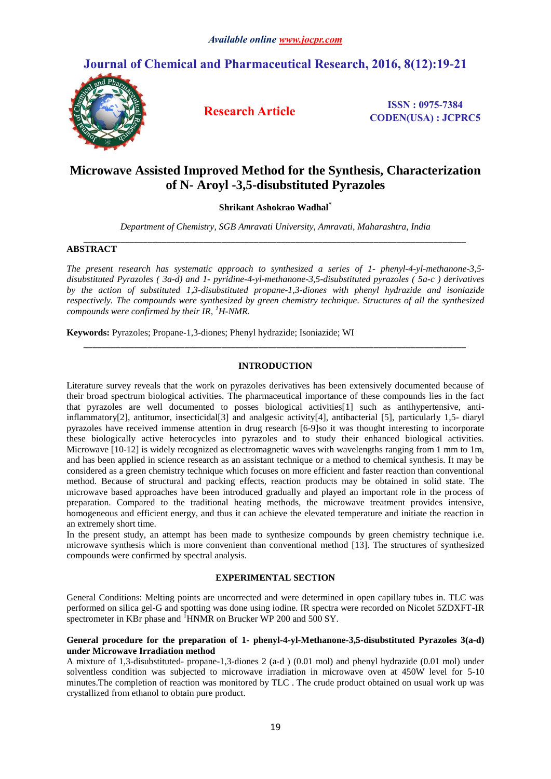# **Journal of Chemical and Pharmaceutical Research, 2016, 8(12):19-21**



**Research Article ISSN : 0975-7384 CODEN(USA) : JCPRC5**

# **Microwave Assisted Improved Method for the Synthesis, Characterization of N- Aroyl -3,5-disubstituted Pyrazoles**

**Shrikant Ashokrao Wadhal\***

*Department of Chemistry, SGB Amravati University, Amravati, Maharashtra, India \_\_\_\_\_\_\_\_\_\_\_\_\_\_\_\_\_\_\_\_\_\_\_\_\_\_\_\_\_\_\_\_\_\_\_\_\_\_\_\_\_\_\_\_\_\_\_\_\_\_\_\_\_\_\_\_\_\_\_\_\_\_\_\_\_\_\_\_\_\_\_\_\_\_\_\_\_\_\_\_\_\_\_*

### **ABSTRACT**

*The present research has systematic approach to synthesized a series of 1- phenyl-4-yl-methanone-3,5 disubstituted Pyrazoles ( 3a-d) and 1- pyridine-4-yl-methanone-3,5-disubstituted pyrazoles ( 5a-c ) derivatives by the action of substituted 1,3-disubstituted propane-1,3-diones with phenyl hydrazide and isoniazide respectively. The compounds were synthesized by green chemistry technique. Structures of all the synthesized compounds were confirmed by their IR, <sup>1</sup>H-NMR.*

**Keywords:** Pyrazoles; Propane-1,3-diones; Phenyl hydrazide; Isoniazide; WI

#### **INTRODUCTION**

*\_\_\_\_\_\_\_\_\_\_\_\_\_\_\_\_\_\_\_\_\_\_\_\_\_\_\_\_\_\_\_\_\_\_\_\_\_\_\_\_\_\_\_\_\_\_\_\_\_\_\_\_\_\_\_\_\_\_\_\_\_\_\_\_\_\_\_\_\_\_\_\_\_\_\_\_\_\_\_\_\_\_\_*

Literature survey reveals that the work on pyrazoles derivatives has been extensively documented because of their broad spectrum biological activities. The pharmaceutical importance of these compounds lies in the fact that pyrazoles are well documented to posses biological activities[1] such as antihypertensive, antiinflammatory[2], antitumor, insecticidal[3] and analgesic activity[4], antibacterial [5], particularly 1,5- diaryl pyrazoles have received immense attention in drug research [6-9]so it was thought interesting to incorporate these biologically active heterocycles into pyrazoles and to study their enhanced biological activities. Microwave [10-12] is widely recognized as electromagnetic waves with wavelengths ranging from 1 mm to 1m, and has been applied in science research as an assistant technique or a method to chemical synthesis. It may be considered as a green chemistry technique which focuses on more efficient and faster reaction than conventional method. Because of structural and packing effects, reaction products may be obtained in solid state. The microwave based approaches have been introduced gradually and played an important role in the process of preparation. Compared to the traditional heating methods, the microwave treatment provides intensive, homogeneous and efficient energy, and thus it can achieve the elevated temperature and initiate the reaction in an extremely short time.

In the present study, an attempt has been made to synthesize compounds by green chemistry technique i.e. microwave synthesis which is more convenient than conventional method [13]. The structures of synthesized compounds were confirmed by spectral analysis.

#### **EXPERIMENTAL SECTION**

General Conditions: Melting points are uncorrected and were determined in open capillary tubes in. TLC was performed on silica gel-G and spotting was done using iodine. IR spectra were recorded on Nicolet 5ZDXFT-IR spectrometer in KBr phase and  ${}^{1}$ HNMR on Brucker WP 200 and 500 SY.

#### **General procedure for the preparation of 1- phenyl-4-yl-Methanone-3,5-disubstituted Pyrazoles 3(a-d) under Microwave Irradiation method**

A mixture of 1,3-disubstituted- propane-1,3-diones 2 (a-d ) (0.01 mol) and phenyl hydrazide (0.01 mol) under solventless condition was subjected to microwave irradiation in microwave oven at 450W level for 5-10 minutes.The completion of reaction was monitored by TLC . The crude product obtained on usual work up was crystallized from ethanol to obtain pure product.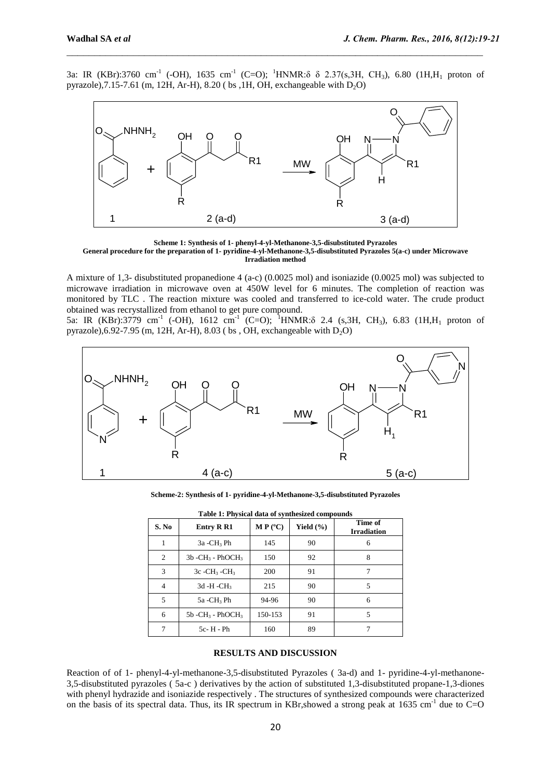3a: IR (KBr):3760 cm<sup>-1</sup> (-OH), 1635 cm<sup>-1</sup> (C=O); <sup>1</sup>HNMR: $\delta$   $\delta$  2.37(s,3H, CH<sub>3</sub>), 6.80 (1H,H<sub>1</sub> proton of pyrazole),7.15-7.61 (m, 12H, Ar-H), 8.20 (bs ,1H, OH, exchangeable with  $D_2O$ )

 $\_$  , and the contribution of the contribution of  $\mathcal{L}_\mathcal{A}$  , and the contribution of  $\mathcal{L}_\mathcal{A}$ 



**Scheme 1: Synthesis of 1- phenyl-4-yl-Methanone-3,5-disubstituted Pyrazoles General procedure for the preparation of 1- pyridine-4-yl-Methanone-3,5-disubstituted Pyrazoles 5(a-c) under Microwave Irradiation method**

A mixture of 1,3- disubstituted propanedione 4 (a-c) (0.0025 mol) and isoniazide (0.0025 mol) was subjected to microwave irradiation in microwave oven at 450W level for 6 minutes. The completion of reaction was monitored by TLC . The reaction mixture was cooled and transferred to ice-cold water. The crude product obtained was recrystallized from ethanol to get pure compound.

5a: IR (KBr):3779 cm<sup>-1</sup> (-OH), 1612 cm<sup>-1</sup> (C=O); <sup>1</sup>HNMR: $\delta$  2.4 (s,3H, CH<sub>3</sub>), 6.83 (1H,H<sub>1</sub> proton of pyrazole),  $6.92$ -7.95 (m, 12H, Ar-H),  $8.03$  (bs, OH, exchangeable with D<sub>2</sub>O)



**Scheme-2: Synthesis of 1- pyridine-4-yl-Methanone-3,5-disubstituted Pyrazoles**

| Table 1: Physical data of synthesized compounds |                                            |                   |               |                               |
|-------------------------------------------------|--------------------------------------------|-------------------|---------------|-------------------------------|
| S. No                                           | <b>Entry R R1</b>                          | $M P (^{\circ}C)$ | Yield $(\% )$ | Time of<br><b>Irradiation</b> |
| 1                                               | $3a - CH_3 Ph$                             | 145               | 90            | 6                             |
| 2                                               | $3b$ -CH <sub>3</sub> - PhOCH <sub>3</sub> | 150               | 92            | 8                             |
| 3                                               | $3c$ -CH <sub>3</sub> -CH <sub>3</sub>     | 200               | 91            |                               |
| 4                                               | $3d - H - CH_3$                            | 215               | 90            | 5                             |
| 5                                               | 5a -CH <sub>3</sub> Ph                     | 94-96             | 90            | 6                             |
| 6                                               | $5b$ -CH <sub>3</sub> - PhOCH <sub>3</sub> | 150-153           | 91            | 5                             |
| 7                                               | $5c - H - Ph$                              | 160               | 89            |                               |

#### **RESULTS AND DISCUSSION**

Reaction of of 1- phenyl-4-yl-methanone-3,5-disubstituted Pyrazoles ( 3a-d) and 1- pyridine-4-yl-methanone-3,5-disubstituted pyrazoles ( 5a-c ) derivatives by the action of substituted 1,3-disubstituted propane-1,3-diones with phenyl hydrazide and isoniazide respectively . The structures of synthesized compounds were characterized on the basis of its spectral data. Thus, its IR spectrum in KBr, showed a strong peak at 1635 cm<sup>-1</sup> due to C=O